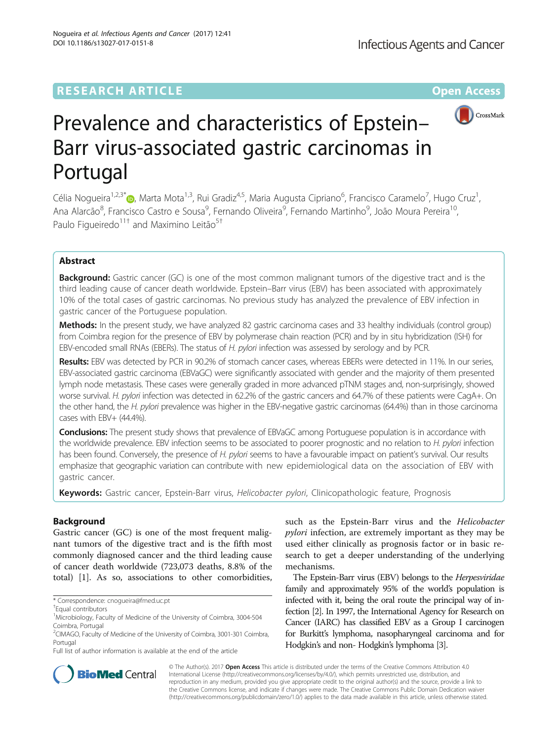# **RESEARCH ARTICLE Example 2014 12:30 The Contract of Contract ACCESS**



# Prevalence and characteristics of Epstein– Barr virus-associated gastric carcinomas in Portugal

Célia Nogueira<sup>1[,](http://orcid.org/0000-0001-8464-0045)2,3\*</sup>®, Marta Mota<sup>1,3</sup>, Rui Gradiz<sup>4,5</sup>, Maria Augusta Cipriano<sup>6</sup>, Francisco Caramelo<sup>7</sup>, Hugo Cruz<sup>1</sup> , Ana Alarcão<sup>8</sup>, Francisco Castro e Sousa<sup>9</sup>, Fernando Oliveira<sup>9</sup>, Fernando Martinho<sup>9</sup>, João Moura Pereira<sup>10</sup>, Paulo Figueiredo<sup>11†</sup> and Maximino Leitão<sup>5†</sup>

# Abstract

**Background:** Gastric cancer (GC) is one of the most common malignant tumors of the digestive tract and is the third leading cause of cancer death worldwide. Epstein–Barr virus (EBV) has been associated with approximately 10% of the total cases of gastric carcinomas. No previous study has analyzed the prevalence of EBV infection in gastric cancer of the Portuguese population.

Methods: In the present study, we have analyzed 82 gastric carcinoma cases and 33 healthy individuals (control group) from Coimbra region for the presence of EBV by polymerase chain reaction (PCR) and by in situ hybridization (ISH) for EBV-encoded small RNAs (EBERs). The status of H. pylori infection was assessed by serology and by PCR.

Results: EBV was detected by PCR in 90.2% of stomach cancer cases, whereas EBERs were detected in 11%. In our series, EBV-associated gastric carcinoma (EBVaGC) were significantly associated with gender and the majority of them presented lymph node metastasis. These cases were generally graded in more advanced pTNM stages and, non-surprisingly, showed worse survival. H. pylori infection was detected in 62.2% of the gastric cancers and 64.7% of these patients were CagA+. On the other hand, the H. pylori prevalence was higher in the EBV-negative gastric carcinomas (64.4%) than in those carcinoma cases with EBV+ (44.4%).

Conclusions: The present study shows that prevalence of EBVaGC among Portuguese population is in accordance with the worldwide prevalence. EBV infection seems to be associated to poorer prognostic and no relation to H. pylori infection has been found. Conversely, the presence of H. pylori seems to have a favourable impact on patient's survival. Our results emphasize that geographic variation can contribute with new epidemiological data on the association of EBV with gastric cancer.

Keywords: Gastric cancer, Epstein-Barr virus, Helicobacter pylori, Clinicopathologic feature, Prognosis

# Background

Gastric cancer (GC) is one of the most frequent malignant tumors of the digestive tract and is the fifth most commonly diagnosed cancer and the third leading cause of cancer death worldwide (723,073 deaths, 8.8% of the total) [\[1](#page-6-0)]. As so, associations to other comorbidities,

such as the Epstein-Barr virus and the Helicobacter pylori infection, are extremely important as they may be used either clinically as prognosis factor or in basic research to get a deeper understanding of the underlying mechanisms.

The Epstein-Barr virus (EBV) belongs to the Herpesviridae family and approximately 95% of the world's population is infected with it, being the oral route the principal way of infection [\[2\]](#page-6-0). In 1997, the International Agency for Research on Cancer (IARC) has classified EBV as a Group I carcinogen for Burkitt's lymphoma, nasopharyngeal carcinoma and for Hodgkin's and non- Hodgkin's lymphoma [[3](#page-6-0)].



© The Author(s). 2017 Open Access This article is distributed under the terms of the Creative Commons Attribution 4.0 International License [\(http://creativecommons.org/licenses/by/4.0/](http://creativecommons.org/licenses/by/4.0/)), which permits unrestricted use, distribution, and reproduction in any medium, provided you give appropriate credit to the original author(s) and the source, provide a link to the Creative Commons license, and indicate if changes were made. The Creative Commons Public Domain Dedication waiver [\(http://creativecommons.org/publicdomain/zero/1.0/](http://creativecommons.org/publicdomain/zero/1.0/)) applies to the data made available in this article, unless otherwise stated.

<sup>\*</sup> Correspondence: [cnogueira@fmed.uc.pt](mailto:cnogueira@fmed.uc.pt) †

Equal contributors

<sup>&</sup>lt;sup>1</sup>Microbiology, Faculty of Medicine of the University of Coimbra, 3004-504 Coimbra, Portugal

<sup>2</sup> CIMAGO, Faculty of Medicine of the University of Coimbra, 3001-301 Coimbra, Portugal

Full list of author information is available at the end of the article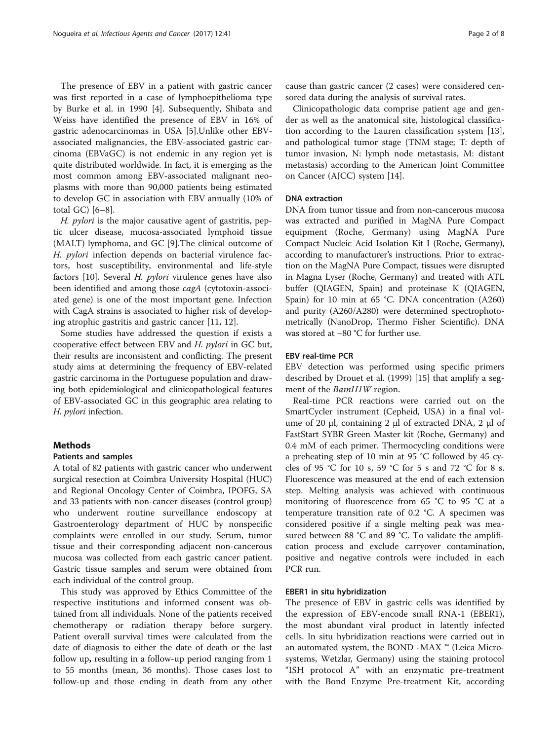The presence of EBV in a patient with gastric cancer was first reported in a case of lymphoepithelioma type by Burke et al. in 1990 [\[4](#page-6-0)]. Subsequently, Shibata and Weiss have identified the presence of EBV in 16% of gastric adenocarcinomas in USA [[5\]](#page-6-0).Unlike other EBVassociated malignancies, the EBV-associated gastric carcinoma (EBVaGC) is not endemic in any region yet is quite distributed worldwide. In fact, it is emerging as the most common among EBV-associated malignant neoplasms with more than 90,000 patients being estimated to develop GC in association with EBV annually (10% of total GC) [[6](#page-6-0)–[8](#page-6-0)].

H. pylori is the major causative agent of gastritis, peptic ulcer disease, mucosa-associated lymphoid tissue (MALT) lymphoma, and GC [[9\]](#page-6-0).The clinical outcome of H. pylori infection depends on bacterial virulence factors, host susceptibility, environmental and life-style factors [\[10](#page-6-0)]. Several H. pylori virulence genes have also been identified and among those cagA (cytotoxin-associated gene) is one of the most important gene. Infection with CagA strains is associated to higher risk of developing atrophic gastritis and gastric cancer [\[11](#page-6-0), [12](#page-6-0)].

Some studies have addressed the question if exists a cooperative effect between EBV and H. pylori in GC but, their results are inconsistent and conflicting. The present study aims at determining the frequency of EBV-related gastric carcinoma in the Portuguese population and drawing both epidemiological and clinicopathological features of EBV-associated GC in this geographic area relating to H. pylori infection.

### Methods

#### Patients and samples

A total of 82 patients with gastric cancer who underwent surgical resection at Coimbra University Hospital (HUC) and Regional Oncology Center of Coimbra, IPOFG, SA and 33 patients with non-cancer diseases (control group) who underwent routine surveillance endoscopy at Gastroenterology department of HUC by nonspecific complaints were enrolled in our study. Serum, tumor tissue and their corresponding adjacent non-cancerous mucosa was collected from each gastric cancer patient. Gastric tissue samples and serum were obtained from each individual of the control group.

This study was approved by Ethics Committee of the respective institutions and informed consent was obtained from all individuals. None of the patients received chemotherapy or radiation therapy before surgery. Patient overall survival times were calculated from the date of diagnosis to either the date of death or the last follow up, resulting in a follow-up period ranging from 1 to 55 months (mean, 36 months). Those cases lost to follow-up and those ending in death from any other cause than gastric cancer (2 cases) were considered censored data during the analysis of survival rates.

Clinicopathologic data comprise patient age and gender as well as the anatomical site, histological classification according to the Lauren classification system [\[13](#page-6-0)], and pathological tumor stage (TNM stage; T: depth of tumor invasion, N: lymph node metastasis, M: distant metastasis) according to the American Joint Committee on Cancer (AJCC) system [[14](#page-6-0)].

#### DNA extraction

DNA from tumor tissue and from non-cancerous mucosa was extracted and purified in MagNA Pure Compact equipment (Roche, Germany) using MagNA Pure Compact Nucleic Acid Isolation Kit I (Roche, Germany), according to manufacturer's instructions. Prior to extraction on the MagNA Pure Compact, tissues were disrupted in Magna Lyser (Roche, Germany) and treated with ATL buffer (QIAGEN, Spain) and proteinase K (QIAGEN, Spain) for 10 min at 65 °C. DNA concentration (A260) and purity (A260/A280) were determined spectrophotometrically (NanoDrop, Thermo Fisher Scientific). DNA was stored at −80 °C for further use.

# EBV real-time PCR

EBV detection was performed using specific primers described by Drouet et al. (1999) [\[15\]](#page-6-0) that amplify a segment of the *BamH1W* region.

Real-time PCR reactions were carried out on the SmartCycler instrument (Cepheid, USA) in a final volume of 20 μl, containing 2 μl of extracted DNA, 2 μl of FastStart SYBR Green Master kit (Roche, Germany) and 0.4 mM of each primer. Thermocycling conditions were a preheating step of 10 min at 95 °C followed by 45 cycles of 95 °C for 10 s, 59 °C for 5 s and 72 °C for 8 s. Fluorescence was measured at the end of each extension step. Melting analysis was achieved with continuous monitoring of fluorescence from 65 °C to 95 °C at a temperature transition rate of 0.2 °C. A specimen was considered positive if a single melting peak was measured between 88 °C and 89 °C. To validate the amplification process and exclude carryover contamination, positive and negative controls were included in each PCR run.

# EBER1 in situ hybridization

The presence of EBV in gastric cells was identified by the expression of EBV-encode small RNA-1 (EBER1), the most abundant viral product in latently infected cells. In situ hybridization reactions were carried out in an automated system, the BOND -MAX ™ (Leica Microsystems, Wetzlar, Germany) using the staining protocol "ISH protocol A" with an enzymatic pre-treatment with the Bond Enzyme Pre-treatment Kit, according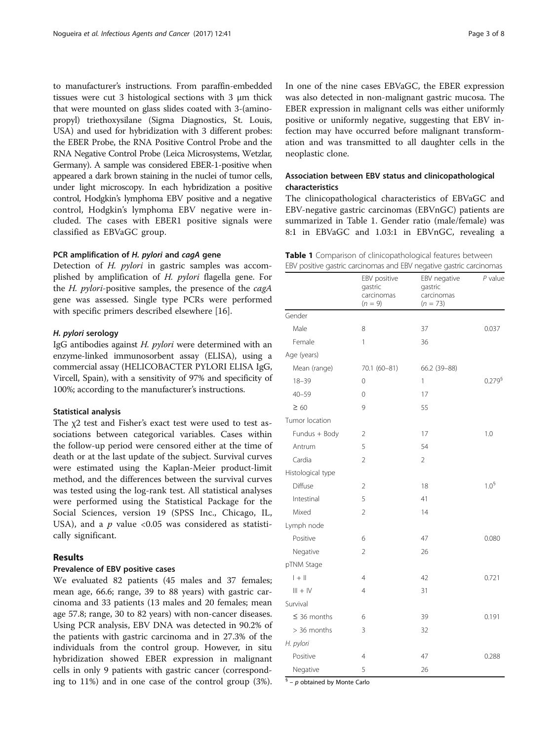to manufacturer's instructions. From paraffin-embedded tissues were cut 3 histological sections with 3 μm thick that were mounted on glass slides coated with 3-(aminopropyl) triethoxysilane (Sigma Diagnostics, St. Louis, USA) and used for hybridization with 3 different probes: the EBER Probe, the RNA Positive Control Probe and the RNA Negative Control Probe (Leica Microsystems, Wetzlar, Germany). A sample was considered EBER-1-positive when appeared a dark brown staining in the nuclei of tumor cells, under light microscopy. In each hybridization a positive control, Hodgkin's lymphoma EBV positive and a negative control, Hodgkin's lymphoma EBV negative were included. The cases with EBER1 positive signals were classified as EBVaGC group.

# PCR amplification of H. pylori and cagA gene

Detection of H. pylori in gastric samples was accomplished by amplification of H. pylori flagella gene. For the *H. pylori-positive samples*, the presence of the  $cagA$ gene was assessed. Single type PCRs were performed with specific primers described elsewhere [[16\]](#page-6-0).

### H. pylori serology

IgG antibodies against H. pylori were determined with an enzyme-linked immunosorbent assay (ELISA), using a commercial assay (HELICOBACTER PYLORI ELISA IgG, Vircell, Spain), with a sensitivity of 97% and specificity of 100%; according to the manufacturer's instructions.

#### Statistical analysis

The χ2 test and Fisher's exact test were used to test associations between categorical variables. Cases within the follow-up period were censored either at the time of death or at the last update of the subject. Survival curves were estimated using the Kaplan-Meier product-limit method, and the differences between the survival curves was tested using the log-rank test. All statistical analyses were performed using the Statistical Package for the Social Sciences, version 19 (SPSS Inc., Chicago, IL, USA), and a  $p$  value <0.05 was considered as statistically significant.

# Results

#### Prevalence of EBV positive cases

We evaluated 82 patients (45 males and 37 females; mean age, 66.6; range, 39 to 88 years) with gastric carcinoma and 33 patients (13 males and 20 females; mean age 57.8; range, 30 to 82 years) with non-cancer diseases. Using PCR analysis, EBV DNA was detected in 90.2% of the patients with gastric carcinoma and in 27.3% of the individuals from the control group. However, in situ hybridization showed EBER expression in malignant cells in only 9 patients with gastric cancer (corresponding to 11%) and in one case of the control group (3%). In one of the nine cases EBVaGC, the EBER expression was also detected in non-malignant gastric mucosa. The EBER expression in malignant cells was either uniformly positive or uniformly negative, suggesting that EBV infection may have occurred before malignant transformation and was transmitted to all daughter cells in the neoplastic clone.

# Association between EBV status and clinicopathological characteristics

The clinicopathological characteristics of EBVaGC and EBV-negative gastric carcinomas (EBVnGC) patients are summarized in Table 1. Gender ratio (male/female) was 8:1 in EBVaGC and 1.03:1 in EBVnGC, revealing a

|  | Table 1 Comparison of clinicopathological features between          |  |  |  |  |
|--|---------------------------------------------------------------------|--|--|--|--|
|  | EBV positive gastric carcinomas and EBV negative gastric carcinomas |  |  |  |  |

|                   | EBV positive<br>gastric<br>carcinomas<br>$(n = 9)$ | EBV negative<br>gastric<br>carcinomas<br>$(n = 73)$ | $P$ value        |
|-------------------|----------------------------------------------------|-----------------------------------------------------|------------------|
| Gender            |                                                    |                                                     |                  |
| Male              | 8                                                  | 37                                                  | 0.037            |
| Female            | 1                                                  | 36                                                  |                  |
| Age (years)       |                                                    |                                                     |                  |
| Mean (range)      | 70.1 (60-81)                                       | 66.2 (39-88)                                        |                  |
| $18 - 39$         | $\mathbf 0$                                        | 1                                                   | $0.279^{6}$      |
| $40 - 59$         | $\Omega$                                           | 17                                                  |                  |
| $\geq 60$         | 9                                                  | 55                                                  |                  |
| Tumor location    |                                                    |                                                     |                  |
| Fundus + Body     | $\overline{2}$                                     | 17                                                  | 1.0              |
| Antrum            | 5                                                  | 54                                                  |                  |
| Cardia            | 2                                                  | $\overline{2}$                                      |                  |
| Histological type |                                                    |                                                     |                  |
| Diffuse           | 2                                                  | 18                                                  | 1.0 <sup>6</sup> |
| Intestinal        | 5                                                  | 41                                                  |                  |
| Mixed             | 2                                                  | 14                                                  |                  |
| Lymph node        |                                                    |                                                     |                  |
| Positive          | 6                                                  | 47                                                  | 0.080            |
| Negative          | 2                                                  | 26                                                  |                  |
| pTNM Stage        |                                                    |                                                     |                  |
| $  +  $           | $\overline{4}$                                     | 42                                                  | 0.721            |
| $III + IV$        | $\overline{4}$                                     | 31                                                  |                  |
| Survival          |                                                    |                                                     |                  |
| $\leq$ 36 months  | 6                                                  | 39                                                  | 0.191            |
| $>$ 36 months     | 3                                                  | 32                                                  |                  |
| H. pylori         |                                                    |                                                     |                  |
| Positive          | 4                                                  | 47                                                  | 0.288            |
| Negative          | 5                                                  | 26                                                  |                  |

 $§$  – p obtained by Monte Carlo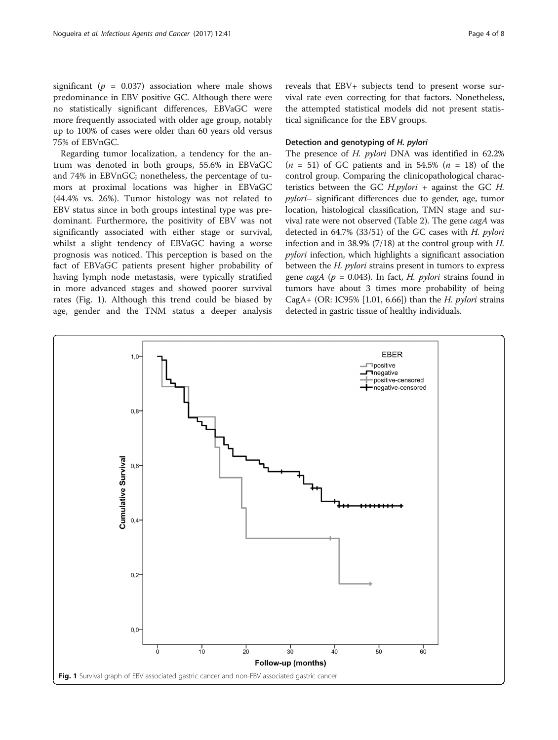significant ( $p = 0.037$ ) association where male shows predominance in EBV positive GC. Although there were no statistically significant differences, EBVaGC were more frequently associated with older age group, notably up to 100% of cases were older than 60 years old versus 75% of EBVnGC.

Regarding tumor localization, a tendency for the antrum was denoted in both groups, 55.6% in EBVaGC and 74% in EBVnGC; nonetheless, the percentage of tumors at proximal locations was higher in EBVaGC (44.4% vs. 26%). Tumor histology was not related to EBV status since in both groups intestinal type was predominant. Furthermore, the positivity of EBV was not significantly associated with either stage or survival, whilst a slight tendency of EBVaGC having a worse prognosis was noticed. This perception is based on the fact of EBVaGC patients present higher probability of having lymph node metastasis, were typically stratified in more advanced stages and showed poorer survival rates (Fig. 1). Although this trend could be biased by age, gender and the TNM status a deeper analysis reveals that EBV+ subjects tend to present worse survival rate even correcting for that factors. Nonetheless, the attempted statistical models did not present statistical significance for the EBV groups.

# Detection and genotyping of H. pylori

The presence of H. pylori DNA was identified in 62.2%  $(n = 51)$  of GC patients and in 54.5%  $(n = 18)$  of the control group. Comparing the clinicopathological characteristics between the GC  $H.pylori$  + against the GC  $H$ . pylori– significant differences due to gender, age, tumor location, histological classification, TMN stage and survival rate were not observed (Table [2](#page-4-0)). The gene cagA was detected in  $64.7\%$  (33/51) of the GC cases with H. pylori infection and in 38.9% (7/18) at the control group with  $H$ . pylori infection, which highlights a significant association between the H. pylori strains present in tumors to express gene cagA ( $p = 0.043$ ). In fact, H. *pylori* strains found in tumors have about 3 times more probability of being CagA+ (OR: IC95% [1.01, 6.66]) than the *H. pylori* strains detected in gastric tissue of healthy individuals.

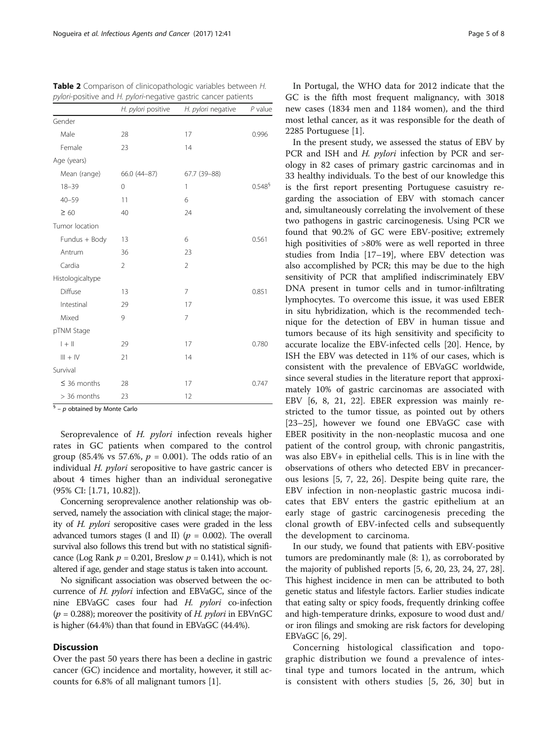|                  | H. pylori positive | H. pylori negative | $P$ value    |
|------------------|--------------------|--------------------|--------------|
| Gender           |                    |                    |              |
| Male             | 28                 | 17                 | 0.996        |
| Female           | 23                 | 14                 |              |
| Age (years)      |                    |                    |              |
| Mean (range)     | 66.0 (44-87)       | 67.7 (39-88)       |              |
| $18 - 39$        | 0                  | 1                  | $0.548^{\$}$ |
| $40 - 59$        | 11                 | 6                  |              |
| $\geq 60$        | 40                 | 24                 |              |
| Tumor location   |                    |                    |              |
| Fundus + Body    | 13                 | 6                  | 0.561        |
| Antrum           | 36                 | 23                 |              |
| Cardia           | 2                  | $\overline{2}$     |              |
| Histologicaltype |                    |                    |              |
| Diffuse          | 13                 | 7                  | 0.851        |
| Intestinal       | 29                 | 17                 |              |
| Mixed            | 9                  | 7                  |              |
| pTNM Stage       |                    |                    |              |
| $  +  $          | 29                 | 17                 | 0.780        |
| $III + IV$       | 21                 | 14                 |              |
| Survival         |                    |                    |              |
| $\leq$ 36 months | 28                 | 17                 | 0.747        |
| > 36 months      | 23                 | 12                 |              |

<span id="page-4-0"></span>Table 2 Comparison of clinicopathologic variables between H. pylori-positive and H. pylori-negative gastric cancer patients

 $\frac{6}{5}$  – p obtained by Monte Carlo

Seroprevalence of H. pylori infection reveals higher rates in GC patients when compared to the control group (85.4% vs 57.6%,  $p = 0.001$ ). The odds ratio of an individual  $H$ . *pylori* seropositive to have gastric cancer is about 4 times higher than an individual seronegative (95% CI: [1.71, 10.82]).

Concerning seroprevalence another relationship was observed, namely the association with clinical stage; the majority of H. pylori seropositive cases were graded in the less advanced tumors stages (I and II) ( $p = 0.002$ ). The overall survival also follows this trend but with no statistical significance (Log Rank  $p = 0.201$ , Breslow  $p = 0.141$ ), which is not altered if age, gender and stage status is taken into account.

No significant association was observed between the occurrence of H. pylori infection and EBVaGC, since of the nine EBVaGC cases four had H. pylori co-infection  $(p = 0.288)$ ; moreover the positivity of H. *pylori* in EBVnGC is higher (64.4%) than that found in EBVaGC (44.4%).

# **Discussion**

Over the past 50 years there has been a decline in gastric cancer (GC) incidence and mortality, however, it still accounts for 6.8% of all malignant tumors [[1\]](#page-6-0).

In Portugal, the WHO data for 2012 indicate that the GC is the fifth most frequent malignancy, with 3018 new cases (1834 men and 1184 women), and the third most lethal cancer, as it was responsible for the death of 2285 Portuguese [[1\]](#page-6-0).

In the present study, we assessed the status of EBV by PCR and ISH and H. pylori infection by PCR and serology in 82 cases of primary gastric carcinomas and in 33 healthy individuals. To the best of our knowledge this is the first report presenting Portuguese casuistry regarding the association of EBV with stomach cancer and, simultaneously correlating the involvement of these two pathogens in gastric carcinogenesis. Using PCR we found that 90.2% of GC were EBV-positive; extremely high positivities of >80% were as well reported in three studies from India [[17](#page-6-0)–[19](#page-6-0)], where EBV detection was also accomplished by PCR; this may be due to the high sensitivity of PCR that amplified indiscriminately EBV DNA present in tumor cells and in tumor-infiltrating lymphocytes. To overcome this issue, it was used EBER in situ hybridization, which is the recommended technique for the detection of EBV in human tissue and tumors because of its high sensitivity and specificity to accurate localize the EBV-infected cells [\[20](#page-6-0)]. Hence, by ISH the EBV was detected in 11% of our cases, which is consistent with the prevalence of EBVaGC worldwide, since several studies in the literature report that approximately 10% of gastric carcinomas are associated with EBV [[6, 8](#page-6-0), [21, 22\]](#page-6-0). EBER expression was mainly restricted to the tumor tissue, as pointed out by others [[23](#page-6-0)–[25](#page-6-0)], however we found one EBVaGC case with EBER positivity in the non-neoplastic mucosa and one patient of the control group, with chronic pangastritis, was also EBV+ in epithelial cells. This is in line with the observations of others who detected EBV in precancerous lesions [\[5](#page-6-0), [7, 22, 26](#page-6-0)]. Despite being quite rare, the EBV infection in non-neoplastic gastric mucosa indicates that EBV enters the gastric epithelium at an early stage of gastric carcinogenesis preceding the clonal growth of EBV-infected cells and subsequently the development to carcinoma.

In our study, we found that patients with EBV-positive tumors are predominantly male (8: 1), as corroborated by the majority of published reports [\[5](#page-6-0), [6](#page-6-0), [20](#page-6-0), [23, 24, 27, 28](#page-6-0)]. This highest incidence in men can be attributed to both genetic status and lifestyle factors. Earlier studies indicate that eating salty or spicy foods, frequently drinking coffee and high-temperature drinks, exposure to wood dust and/ or iron filings and smoking are risk factors for developing EBVaGC [[6, 29](#page-6-0)].

Concerning histological classification and topographic distribution we found a prevalence of intestinal type and tumors located in the antrum, which is consistent with others studies [[5, 26, 30\]](#page-6-0) but in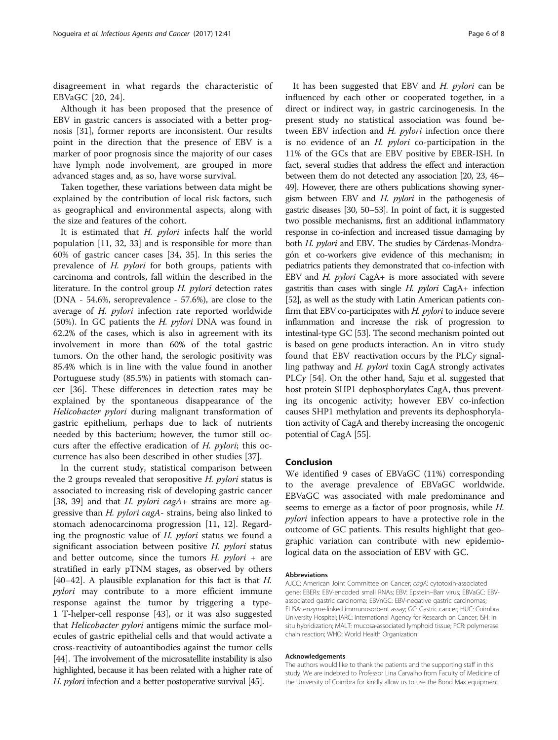disagreement in what regards the characteristic of EBVaGC [[20](#page-6-0), [24\]](#page-6-0).

Although it has been proposed that the presence of EBV in gastric cancers is associated with a better prognosis [[31\]](#page-7-0), former reports are inconsistent. Our results point in the direction that the presence of EBV is a marker of poor prognosis since the majority of our cases have lymph node involvement, are grouped in more advanced stages and, as so, have worse survival.

Taken together, these variations between data might be explained by the contribution of local risk factors, such as geographical and environmental aspects, along with the size and features of the cohort.

It is estimated that H. pylori infects half the world population [\[11](#page-6-0), [32, 33](#page-7-0)] and is responsible for more than 60% of gastric cancer cases [[34](#page-7-0), [35\]](#page-7-0). In this series the prevalence of H. pylori for both groups, patients with carcinoma and controls, fall within the described in the literature. In the control group H. *pylori* detection rates (DNA - 54.6%, seroprevalence - 57.6%), are close to the average of H. pylori infection rate reported worldwide (50%). In GC patients the H. pylori DNA was found in 62.2% of the cases, which is also in agreement with its involvement in more than 60% of the total gastric tumors. On the other hand, the serologic positivity was 85.4% which is in line with the value found in another Portuguese study (85.5%) in patients with stomach cancer [[36\]](#page-7-0). These differences in detection rates may be explained by the spontaneous disappearance of the Helicobacter pylori during malignant transformation of gastric epithelium, perhaps due to lack of nutrients needed by this bacterium; however, the tumor still occurs after the effective eradication of H. pylori; this occurrence has also been described in other studies [\[37](#page-7-0)].

In the current study, statistical comparison between the 2 groups revealed that seropositive H. pylori status is associated to increasing risk of developing gastric cancer [[38, 39\]](#page-7-0) and that *H. pylori cagA*+ strains are more aggressive than H. pylori cagA- strains, being also linked to stomach adenocarcinoma progression [\[11](#page-6-0), [12\]](#page-6-0). Regarding the prognostic value of H. pylori status we found a significant association between positive  $H$ . *pylori* status and better outcome, since the tumors  $H$ .  $pylori +$  are stratified in early pTNM stages, as observed by others [[40](#page-7-0)–[42](#page-7-0)]. A plausible explanation for this fact is that H. pylori may contribute to a more efficient immune response against the tumor by triggering a type-1 T-helper-cell response [\[43\]](#page-7-0), or it was also suggested that Helicobacter pylori antigens mimic the surface molecules of gastric epithelial cells and that would activate a cross-reactivity of autoantibodies against the tumor cells [[44\]](#page-7-0). The involvement of the microsatellite instability is also highlighted, because it has been related with a higher rate of H. *pylori* infection and a better postoperative survival [[45\]](#page-7-0).

It has been suggested that EBV and  $H$ . *pylori* can be influenced by each other or cooperated together, in a direct or indirect way, in gastric carcinogenesis. In the present study no statistical association was found between EBV infection and H. pylori infection once there is no evidence of an  $H$ . *pylori* co-participation in the 11% of the GCs that are EBV positive by EBER-ISH. In fact, several studies that address the effect and interaction between them do not detected any association [\[20](#page-6-0), [23,](#page-6-0) [46](#page-7-0)– [49](#page-7-0)]. However, there are others publications showing synergism between EBV and  $H$ . *pylori* in the pathogenesis of gastric diseases [\[30](#page-6-0), [50](#page-7-0)–[53](#page-7-0)]. In point of fact, it is suggested two possible mechanisms, first an additional inflammatory response in co-infection and increased tissue damaging by both H. pylori and EBV. The studies by Cárdenas-Mondragón et co-workers give evidence of this mechanism; in pediatrics patients they demonstrated that co-infection with EBV and H. pylori CagA+ is more associated with severe gastritis than cases with single  $H$ . *pylori* CagA+ infection [[52](#page-7-0)], as well as the study with Latin American patients confirm that EBV co-participates with  $H.$   $pylori$  to induce severe inflammation and increase the risk of progression to intestinal-type GC [\[53\]](#page-7-0). The second mechanism pointed out is based on gene products interaction. An in vitro study found that EBV reactivation occurs by the PLCγ signalling pathway and H. *pylori* toxin CagA strongly activates PLC $\gamma$  [[54](#page-7-0)]. On the other hand, Saju et al. suggested that host protein SHP1 dephosphorylates CagA, thus preventing its oncogenic activity; however EBV co-infection causes SHP1 methylation and prevents its dephosphorylation activity of CagA and thereby increasing the oncogenic potential of CagA [\[55\]](#page-7-0).

## Conclusion

We identified 9 cases of EBVaGC (11%) corresponding to the average prevalence of EBVaGC worldwide. EBVaGC was associated with male predominance and seems to emerge as a factor of poor prognosis, while H. pylori infection appears to have a protective role in the outcome of GC patients. This results highlight that geographic variation can contribute with new epidemiological data on the association of EBV with GC.

#### Abbreviations

AJCC: American Joint Committee on Cancer; cagA: cytotoxin-associated gene; EBERs: EBV-encoded small RNAs; EBV: Epstein–Barr virus; EBVaGC: EBVassociated gastric carcinoma; EBVnGC: EBV-negative gastric carcinomas; ELISA: enzyme-linked immunosorbent assay; GC: Gastric cancer; HUC: Coimbra University Hospital; IARC: International Agency for Research on Cancer; ISH: In situ hybridization; MALT: mucosa-associated lymphoid tissue; PCR: polymerase chain reaction; WHO: World Health Organization

#### Acknowledgements

The authors would like to thank the patients and the supporting staff in this study. We are indebted to Professor Lina Carvalho from Faculty of Medicine of the University of Coimbra for kindly allow us to use the Bond Max equipment.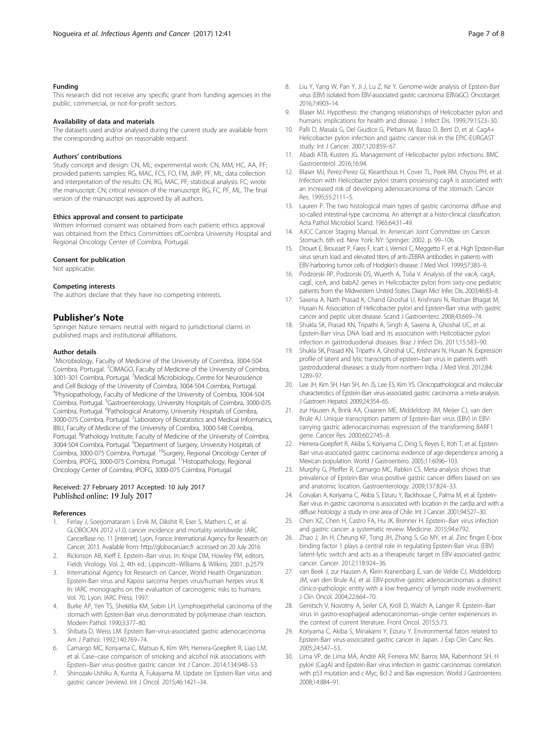#### <span id="page-6-0"></span>Funding

This research did not receive any specific grant from funding agencies in the public, commercial, or not-for-profit sectors.

#### Availability of data and materials

The datasets used and/or analysed during the current study are available from the corresponding author on reasonable request.

#### Authors' contributions

Study concept and design: CN, ML; experimental work: CN, MM, HC, AA, PF; provided patients samples: RG, MAC, FCS, FO, FM, JMP, PF, ML; data collection and interpretation of the results: CN, RG, MAC, PF; statistical analysis: FC; wrote the manuscript: CN; critical revision of the manuscript: RG, FC, PF, ML. The final version of the manuscript was approved by all authors.

#### Ethics approval and consent to participate

Written informed consent was obtained from each patient; ethics approval was obtained from the Ethics Committees ofCoimbra University Hospital and Regional Oncology Center of Coimbra, Portugal.

#### Consent for publication

Not applicable.

#### Competing interests

The authors declare that they have no competing interests.

#### Publisher's Note

Springer Nature remains neutral with regard to jurisdictional claims in published maps and institutional affiliations.

#### Author details

<sup>1</sup>Microbiology, Faculty of Medicine of the University of Coimbra, 3004-504 Coimbra, Portugal. <sup>2</sup>CIMAGO, Faculty of Medicine of the University of Coimbra, 3001-301 Coimbra, Portugal. <sup>3</sup>Medical Microbiology, Centre for Neuroscience and Cell Biology of the University of Coimbra, 3004-504 Coimbra, Portugal. 4 Physiopathology, Faculty of Medicine of the University of Coimbra, 3004-504 Coimbra, Portugal. <sup>5</sup>Gastroenterology, University Hospitals of Coimbra, 3000-075 Coimbra, Portugal. <sup>6</sup>Pathological Anatomy, University Hospitals of Coimbra, 3000-075 Coimbra, Portugal. <sup>7</sup> Laboratory of Biostatistics and Medical Informatics, IBILI, Faculty of Medicine of the University of Coimbra, 3000-548 Coimbra, Portugal. <sup>8</sup>Pathology Institute, Faculty of Medicine of the University of Coimbra, 3004-504 Coimbra, Portugal. <sup>9</sup> Department of Surgery, University Hospitals of Coimbra, 3000-075 Coimbra, Portugal. 10Surgery, Regional Oncology Center of Coimbra, IPOFG, 3000-075 Coimbra, Portugal. <sup>11</sup>Histopathology, Regional Oncology Center of Coimbra, IPOFG, 3000-075 Coimbra, Portugal.

#### Received: 27 February 2017 Accepted: 10 July 2017 Published online: 19 July 2017

#### References

- Ferlay J, Soerjomataram I, Ervik M, Dikshit R, Eser S, Mathers C, et al. GLOBOCAN 2012 v1.0, cancer incidence and mortality worldwide: IARC CancerBase no. 11 [internet]. Lyon, France: International Agency for Research on Cancer; 2013. Available from: [http://globocan.iarc.fr.](http://globocan.iarc.fr) accessed on 20 July 2016
- 2. Rickinson AB, Kieff E. Epstein–Barr virus. In: Knipe DM, Howley PM, editors. Fields Virology. Vol. 2, 4th ed.; Lippincott–Williams & Wilkins; 2001. p.2579.
- International Agency for Research on Cancer, World Health Organization. Epstein-Barr virus and Kaposi sarcoma herpes virus/human herpes virus 8. In: IARC monographs on the evaluation of carcinogenic risks to humans. Vol. 70. Lyon: IARC Press; 1997.
- 4. Burke AP, Yen TS, Shekitka KM, Sobin LH. Lymphoepithelial carcinoma of the stomach with Epstein-Barr virus demonstrated by polymerase chain reaction. Modern Pathol. 1990;3:377–80.
- 5. Shibata D, Weiss LM. Epstein Barr-virus-associated gastric adenocarcinoma. Am J Pathol. 1992;140:769–74.
- Camargo MC, Koriyama C, Matsuo K, Kim WH, Herrera-Goepfert R, Liao LM, et al. Case–case comparison of smoking and alcohol risk associations with Epstein–Barr virus-positive gastric cancer. Int J Cancer. 2014;134:948–53.
- 7. Shinozaki-Ushiku A, Kunita A, Fukayama M. Update on Epstein-Barr virus and gastric cancer (review). Int J Oncol. 2015;46:1421–34.
- 8. Liu Y, Yang W, Pan Y, Ji J, Lu Z, Ke Y. Genome-wide analysis of Epstein-Barr virus (EBV) isolated from EBV-associated gastric carcinoma (EBVaGC). Oncotarget. 2016;7:4903–14.
- Blaser MJ. Hypothesis: the changing relationships of Helicobacter pylori and humans: implications for health and disease. J Infect Dis. 1999;79:1523–30.
- 10. Palli D, Masala G, Del Giudice G, Plebani M, Basso D, Berti D, et al. CagA+ Helicobacter pylori infection and gastric cancer risk in the EPIC-EURGAST study. Int J Cancer. 2007;120:859–67.
- 11. Abadi ATB, Kusters JG. Management of Helicobacter pylori infections. BMC Gastroenterol. 2016;16:94.
- 12. Blaser MJ, Perez-Perez GI, Kleanthous H, Cover TL, Peek RM, Chyou PH, et al. Infection with Helicobacter pylori strains possessing cagA is associated with an increased risk of developing adenocarcinoma of the stomach. Cancer Res. 1995;55:2111–5.
- 13. Lauren P. The two histological main types of gastric carcinoma: diffuse and so-called intestinal-type carcinoma. An attempt at a histo-clinical classification. Acta Pathol Microbiol Scand. 1965;64:31–49.
- 14. AJCC Cancer Staging Manual. In: American Joint Committee on Cancer. Stomach. 6th ed. New York: NY: Springer; 2002. p. 99–106.
- 15. Drouet E, Brousset P, Fares F, Icart J, Verniol C, Meggetto F, et al. High Epstein-Barr virus serum load and elevated titers of anti-ZEBRA antibodies in patients with EBV-harboring tumor cells of Hodgkin's disease. J Med Virol. 1999;57:383–9.
- 16. Podzorski RP, Podzorski DS, Wuerth A, Tolia V. Analysis of the vacA, cagA, cagE, iceA, and babA2 genes in Helicobacter pylori from sixty-one pediatric patients from the Midwestern United States. Diagn Micr Infec Dis. 2003;46:83–8.
- 17. Saxena A, Nath Prasad K, Chand Ghoshal U, Krishnani N, Roshan Bhagat M, Husain N. Association of Helicobacter pylori and Epstein-Barr virus with gastric cancer and peptic ulcer disease. Scand J Gastroentero. 2008;43:669–74.
- 18. Shukla SK, Prasad KN, Tripathi A, Singh A, Saxena A, Ghoshal UC, et al. Epstein-Barr virus DNA load and its association with Helicobacter pylori infection in gastroduodenal diseases. Braz J Infect Dis. 2011;15:583–90.
- 19. Shukla SK, Prasad KN, Tripathi A, Ghoshal UC, Krishnani N, Husain N. Expression profile of latent and lytic transcripts of epstein–barr virus in patients with gastroduodenal diseases: a study from northern India. J Med Virol. 2012;84: 1289–97.
- 20. Lee JH, Kim SH, Han SH, An JS, Lee ES, Kim YS. Clinicopathological and molecular characteristics of Epstein-Barr virus-associated gastric carcinoma: a meta-analysis. J Gastroen Hepatol. 2009;24:354–65.
- 21. zur Hausen A, Brink AA, Craanen ME, Middeldorp JM, Meijer CJ, van den Brule AJ. Unique transcription pattern of Epstein-Barr virus (EBV) in EBVcarrying gastric adenocarcinomas: expression of the transforming BARF1 gene. Cancer Res. 2000;60:2745–8.
- 22. Herrera-Goepfert R, Akiba S, Koriyama C, Ding S, Reyes E, Itoh T, et al. Epstein-Barr virus-associated gastric carcinoma: evidence of age-dependence among a Mexican population. World J Gastroentero. 2005;11:6096–103.
- 23. Murphy G, Pfeiffer R, Camargo MC, Rabkin CS. Meta-analysis shows that prevalence of Epstein-Barr virus-positive gastric cancer differs based on sex and anatomic location. Gastroenterology. 2009;137:824–33.
- 24. Corvalan A, Koriyama C, Akiba S, Eizuru Y, Backhouse C, Palma M, et al. Epstein-Barr virus in gastric carcinoma is associated with location in the cardia and with a diffuse histology: a study in one area of Chile. Int J Cancer. 2001;94:527–30.
- 25. Chen XZ, Chen H, Castro FA, Hu JK, Brenner H. Epstein–Barr virus infection and gastric cancer: a systematic review. Medicine. 2015;94:e792.
- 26. Zhao J, Jin H, Cheung KF, Tong JH, Zhang S, Go MY, et al. Zinc finger E-box binding factor 1 plays a central role in regulating Epstein-Barr virus (EBV) latent-lytic switch and acts as a therapeutic target in EBV-associated gastric cancer. Cancer. 2012;118:924–36.
- 27. van Beek J, zur Hausen A, Klein Kranenbarg E, van de Velde CJ, Middeldorp JM, van den Brule AJ, et al. EBV-positive gastric adenocarcinomas: a distinct clinico-pathologic entity with a low frequency of lymph node involvement. J Clin Oncol. 2004;22:664–70.
- 28. Genitsch V, Novotny A, Seiler CA, Kröll D, Walch A, Langer R. Epstein–Barr virus in gastro-esophageal adenocarcinomas–single center experiences in the context of current literature. Front Oncol. 2015;5:73.
- 29. Koriyama C, Akiba S, Minakami Y, Eizuru Y. Environmental fators related to Epstein-Barr virus-associated gastric cancer in Japan. J Exp Clin Canc Res. 2005;24:547–53.
- 30. Lima VP, de Lima MA, André AR, Ferreira MV, Barros MA, Rabenhorst SH. H pylori (CagA) and Epstein-Barr virus infection in gastric carcinomas: correlation with p53 mutation and c-Myc, Bcl-2 and Bax expression. World J Gastroentero. 2008;14:884–91.